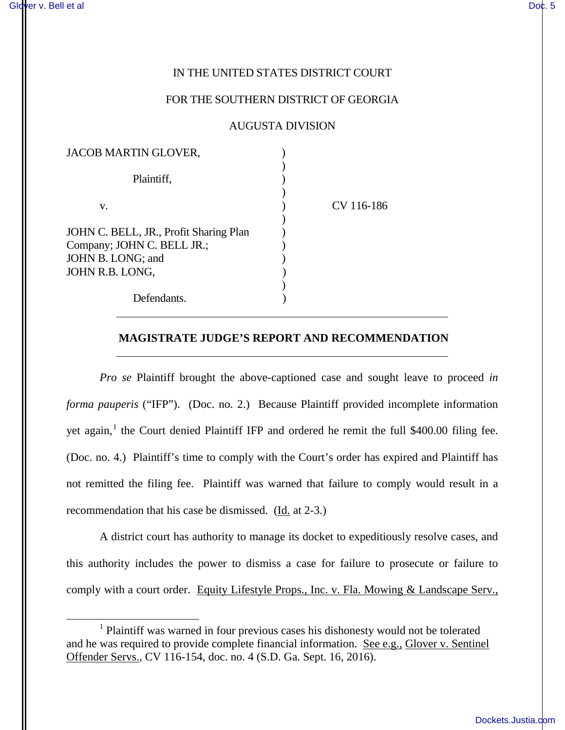## IN THE UNITED STATES DISTRICT COURT

## FOR THE SOUTHERN DISTRICT OF GEORGIA

## AUGUSTA DIVISION

| JACOB MARTIN GLOVER,                                                 |            |
|----------------------------------------------------------------------|------------|
| Plaintiff,                                                           |            |
| v.                                                                   | CV 116-186 |
| JOHN C. BELL, JR., Profit Sharing Plan<br>Company; JOHN C. BELL JR.; |            |
| JOHN B. LONG; and<br>JOHN R.B. LONG,                                 |            |
|                                                                      |            |
| Defendants.                                                          |            |

 $\overline{a}$ 

 $\overline{a}$ 

 $\overline{a}$ 

## **MAGISTRATE JUDGE'S REPORT AND RECOMMENDATION**

*Pro se* Plaintiff brought the above-captioned case and sought leave to proceed *in forma pauperis* ("IFP"). (Doc. no. 2.) Because Plaintiff provided incomplete information yet again,<sup>[1](#page-0-0)</sup> the Court denied Plaintiff IFP and ordered he remit the full \$400.00 filing fee. (Doc. no. 4.) Plaintiff's time to comply with the Court's order has expired and Plaintiff has not remitted the filing fee. Plaintiff was warned that failure to comply would result in a recommendation that his case be dismissed. (Id. at 2-3.)

A district court has authority to manage its docket to expeditiously resolve cases, and this authority includes the power to dismiss a case for failure to prosecute or failure to comply with a court order. Equity Lifestyle Props., Inc. v. Fla. Mowing & Landscape Serv.,

<span id="page-0-0"></span><sup>&</sup>lt;sup>1</sup> Plaintiff was warned in four previous cases his dishonesty would not be tolerated and he was required to provide complete financial information. See e.g., Glover v. Sentinel Offender Servs., CV 116-154, doc. no. 4 (S.D. Ga. Sept. 16, 2016).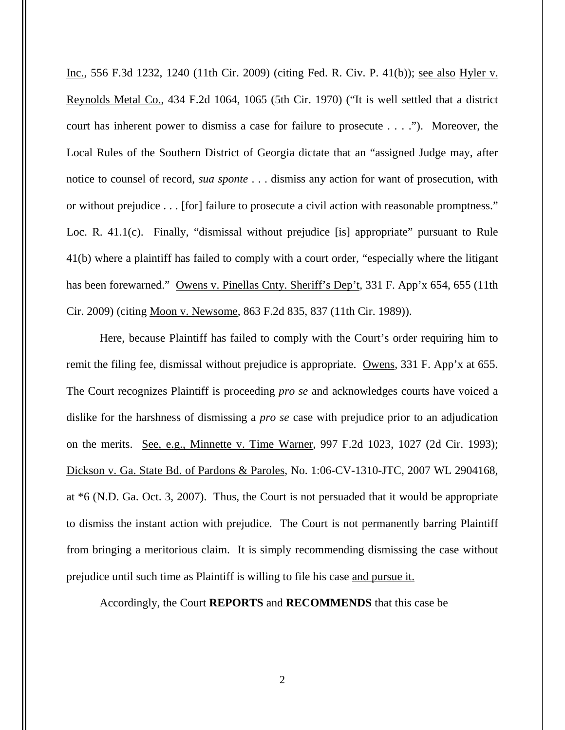Inc., 556 F.3d 1232, 1240 (11th Cir. 2009) (citing Fed. R. Civ. P. 41(b)); see also Hyler v. Reynolds Metal Co., 434 F.2d 1064, 1065 (5th Cir. 1970) ("It is well settled that a district court has inherent power to dismiss a case for failure to prosecute . . . ."). Moreover, the Local Rules of the Southern District of Georgia dictate that an "assigned Judge may, after notice to counsel of record, *sua sponte* . . . dismiss any action for want of prosecution, with or without prejudice . . . [for] failure to prosecute a civil action with reasonable promptness." Loc. R. 41.1(c). Finally, "dismissal without prejudice [is] appropriate" pursuant to Rule 41(b) where a plaintiff has failed to comply with a court order, "especially where the litigant has been forewarned." Owens v. Pinellas Cnty. Sheriff's Dep't, 331 F. App'x 654, 655 (11th Cir. 2009) (citing Moon v. Newsome, 863 F.2d 835, 837 (11th Cir. 1989)).

Here, because Plaintiff has failed to comply with the Court's order requiring him to remit the filing fee, dismissal without prejudice is appropriate. Owens, 331 F. App'x at 655. The Court recognizes Plaintiff is proceeding *pro se* and acknowledges courts have voiced a dislike for the harshness of dismissing a *pro se* case with prejudice prior to an adjudication on the merits. See, e.g., Minnette v. Time Warner, 997 F.2d 1023, 1027 (2d Cir. 1993); Dickson v. Ga. State Bd. of Pardons & Paroles, No. 1:06-CV-1310-JTC, 2007 WL 2904168, at \*6 (N.D. Ga. Oct. 3, 2007). Thus, the Court is not persuaded that it would be appropriate to dismiss the instant action with prejudice. The Court is not permanently barring Plaintiff from bringing a meritorious claim. It is simply recommending dismissing the case without prejudice until such time as Plaintiff is willing to file his case and pursue it.

Accordingly, the Court **REPORTS** and **RECOMMENDS** that this case be